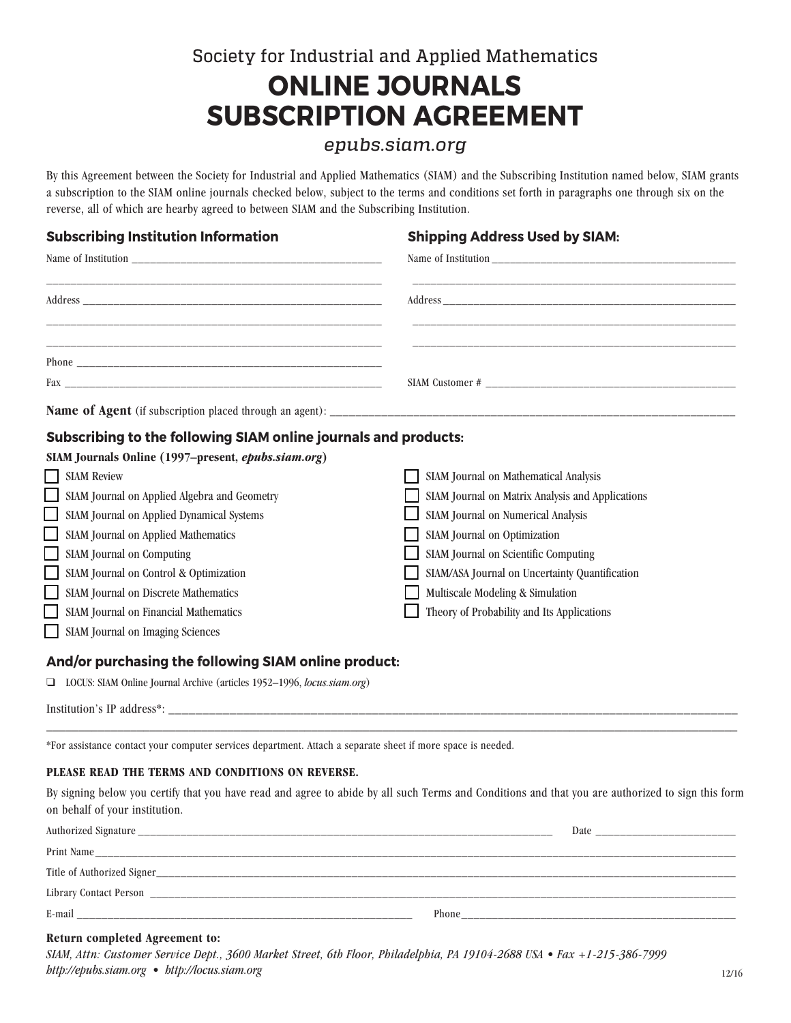# Society for Industrial and Applied Mathematics **ONLINE JOURNALS SUBSCRIPTION AGREEMENT**

# *epubs.siam.org*

By this Agreement between the Society for Industrial and Applied Mathematics (SIAM) and the Subscribing Institution named below, SIAM grants a subscription to the SIAM online journals checked below, subject to the terms and conditions set forth in paragraphs one through six on the reverse, all of which are hearby agreed to between SIAM and the Subscribing Institution.

## **Subscribing Institution Information Shipping Address Used by SIAM:**

# **Subscribing to the following SIAM online journals and products:**

| SIAM Journals Online (1997–present, epubs.siam.org)                            |                                                  |  |  |  |
|--------------------------------------------------------------------------------|--------------------------------------------------|--|--|--|
| <b>SIAM Review</b>                                                             | SIAM Journal on Mathematical Analysis            |  |  |  |
| SIAM Journal on Applied Algebra and Geometry                                   | SIAM Journal on Matrix Analysis and Applications |  |  |  |
| SIAM Journal on Applied Dynamical Systems                                      | SIAM Journal on Numerical Analysis               |  |  |  |
| SIAM Journal on Applied Mathematics                                            | SIAM Journal on Optimization                     |  |  |  |
| <b>SIAM Journal on Computing</b>                                               | SIAM Journal on Scientific Computing             |  |  |  |
| SIAM Journal on Control & Optimization                                         | SIAM/ASA Journal on Uncertainty Quantification   |  |  |  |
| SIAM Journal on Discrete Mathematics                                           | Multiscale Modeling & Simulation                 |  |  |  |
| SIAM Journal on Financial Mathematics                                          | Theory of Probability and Its Applications       |  |  |  |
| SIAM Journal on Imaging Sciences                                               |                                                  |  |  |  |
| And/or purchasing the following SIAM online product:                           |                                                  |  |  |  |
| $\Box$ LOCUS: SIAM Online Journal Archive (articles 1952-1996, locus.siam.org) |                                                  |  |  |  |

Institution's IP address\*: \_\_\_\_\_\_\_\_\_\_\_\_\_\_\_\_\_\_\_\_\_\_\_\_\_\_\_\_\_\_\_\_\_\_\_\_\_\_\_\_\_\_\_\_\_\_\_\_\_\_\_\_\_\_\_\_\_\_\_\_\_\_\_\_\_\_\_\_\_\_\_\_\_\_\_\_\_\_\_\_\_\_\_\_

\*For assistance contact your computer services department. Attach a separate sheet if more space is needed.

# **PLEASE READ THE TERMS AND CONDITIONS ON REVERSE.**

By signing below you certify that you have read and agree to abide by all such Terms and Conditions and that you are authorized to sign this form on behalf of your institution.

\_\_\_\_\_\_\_\_\_\_\_\_\_\_\_\_\_\_\_\_\_\_\_\_\_\_\_\_\_\_\_\_\_\_\_\_\_\_\_\_\_\_\_\_\_\_\_\_\_\_\_\_\_\_\_\_\_\_\_\_\_\_\_\_\_\_\_\_\_\_\_\_\_\_\_\_\_\_\_\_\_\_\_\_\_\_\_\_\_\_\_\_\_\_\_\_\_\_\_\_\_\_\_\_\_\_\_

| Authorized Signature          | Date  |
|-------------------------------|-------|
| Print Name                    |       |
| Title of Authorized Signer_   |       |
| <b>Library Contact Person</b> |       |
| E-mail                        | Phone |

# **Return completed Agreement to:**

| SIAM, Attn: Customer Service Dept., 3600 Market Street, 6th Floor, Philadelphia, PA 19104-2688 USA • Fax +1-215-386-7999 |       |
|--------------------------------------------------------------------------------------------------------------------------|-------|
| http://epubs.siam.org • http://locus.siam.org                                                                            | 12/16 |